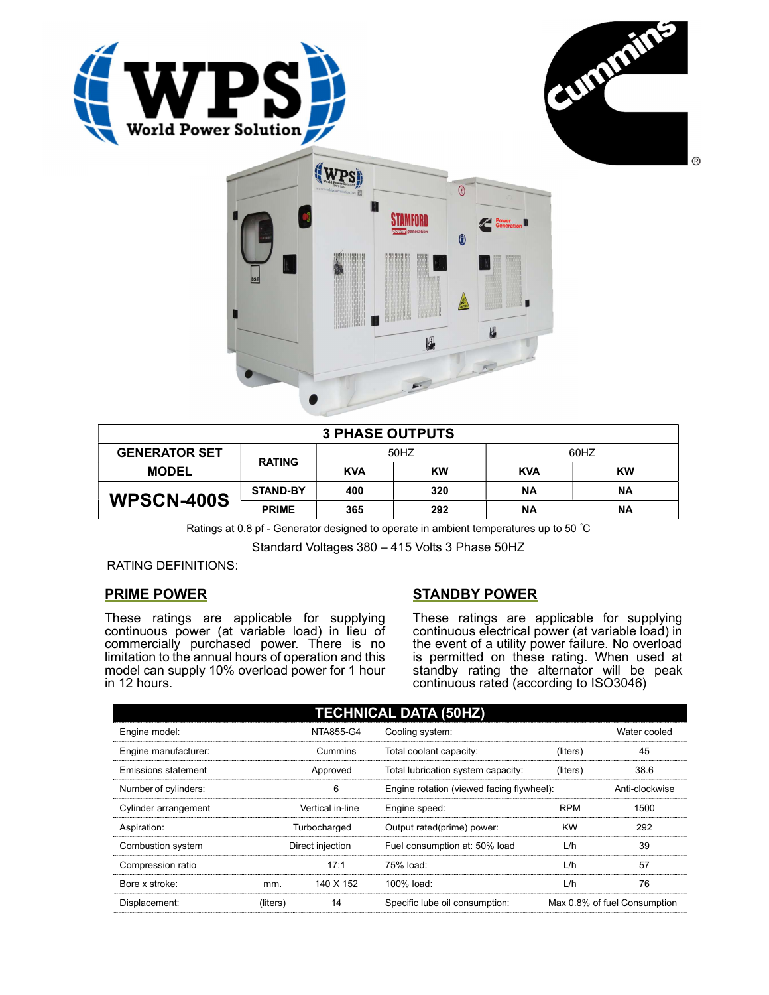





| <b>3 PHASE OUTPUTS</b> |                 |            |           |            |           |  |
|------------------------|-----------------|------------|-----------|------------|-----------|--|
| <b>GENERATOR SET</b>   | <b>RATING</b>   | 50HZ       |           | 60HZ       |           |  |
| <b>MODEL</b>           |                 | <b>KVA</b> | <b>KW</b> | <b>KVA</b> | <b>KW</b> |  |
| <b>WPSCN-400S</b>      | <b>STAND-BY</b> | 400        | 320       | ΝA         | <b>NA</b> |  |
|                        | <b>PRIME</b>    | 365        | 292       | ΝA         | ΝA        |  |

Ratings at 0.8 pf - Generator designed to operate in ambient temperatures up to 50 °C

Standard Voltages 380 – 415 Volts 3 Phase 50HZ

RATING DEFINITIONS:

# PRIME POWER

These ratings are applicable for supplying continuous power (at variable load) in lieu of commercially purchased power. There is no limitation to the annual hours of operation and this model can supply 10% overload power for 1 hour in 12 hours.

# STANDBY POWER

These ratings are applicable for supplying continuous electrical power (at variable load) in the event of a utility power failure. No overload is permitted on these rating. When used at standby rating the alternator will be peak continuous rated (according to ISO3046)

| <b>TECHNICAL DATA (50HZ)</b> |                  |           |                                           |            |                              |  |
|------------------------------|------------------|-----------|-------------------------------------------|------------|------------------------------|--|
| Engine model:                |                  | NTA855-G4 | Cooling system:                           |            | Water cooled                 |  |
| Engine manufacturer:         |                  | Cummins   | Total coolant capacity:                   | (liters)   | 45                           |  |
| Emissions statement          | Approved         |           | Total lubrication system capacity:        | (liters)   | 38.6                         |  |
| Number of cylinders:         | 6                |           | Engine rotation (viewed facing flywheel): |            | Anti-clockwise               |  |
| Cylinder arrangement         | Vertical in-line |           | Engine speed:                             | <b>RPM</b> | 1500                         |  |
| Aspiration:                  | Turbocharged     |           | Output rated(prime) power:                | <b>KW</b>  | 292                          |  |
| Combustion system            | Direct injection |           | Fuel consumption at: 50% load             | L/h        | 39                           |  |
| Compression ratio            |                  | 17:1      | 75% load:                                 | L/h        | 57                           |  |
| Bore x stroke:               | mm.              | 140 X 152 | 100% load:                                | L/h        | 76                           |  |
| Displacement:                | (liters)         | 14        | Specific lube oil consumption:            |            | Max 0.8% of fuel Consumption |  |